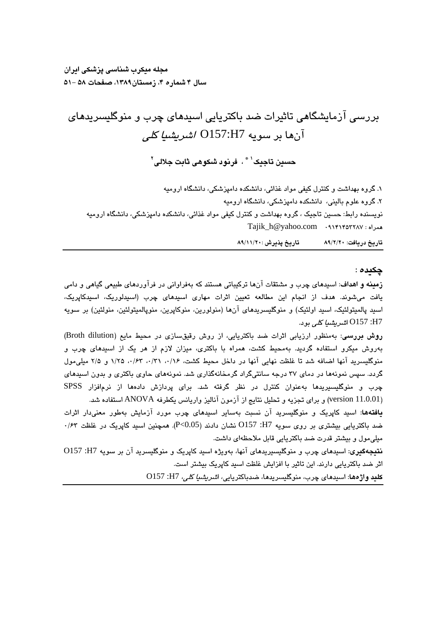مجله میکرب شداسی یزشکی ایران سال ۴ شماره ۴، زمستان۱۳۸۹، صفحات ۵۸ –۵۱

O157:H7 

۱. گروه بهداشت و کنترل کیفی مواد غذائی، دانشکده دامپزشکی، دانشگاه ارومیه ۲. گروه علوم بالینی، دانشکده دامپزشکی، دانشگاه ارومیه نویسنده رابط: حسین تاجیک ، گروه بهداشت و کنترل کیفی مواد غذائی، دانشکده دامیزشکی، دانشگاه ارومیه Tajik\_h@yahoo.com

> تاریخ دریافت: ۸۹/۲/۲۰ تاریخ پذیرش :۱۱/۲۰/ ۸۹/۱

> > چکیده :

**زمینه و اهداف**: اسیدهای چرب و مشتقات آنها ترکیباتی هستند که بهفراوانی در فرآوردهای طبیعی گیاهی و دامی یافت میشوند. هدف از انجام این مطالعه تعیین اثرات مهاری اسیدهای چرب (اسیدلوریک، اسیدکاپریک، اسید پالمیتولئیک، اسید اولئیک) و منوگلیسریدهای آنها (منولورین، منوکاپرین، منوپالمیتولئین، منولئین) بر سویه O157 :H7

روش بررسی: بهمنظور ارزیابی اثرات ضد باکتریایی، از روش رقیقسازی در محیط مایع (Broth dilution) بهروش میکرو استفاده گردید. بهمحیط کشت، همراه با باکتری، میزان لازم از هر یک از اسیدهای چرب و منوگلیسرید آنها اضافه شد تا غلظت نهایی آنها در داخل محیط کشت، ۰/۲۶، ۰/۳۱، ۰/۶۳، ۱/۲۵ و ۲/۵ میلی مول گردد. سپس نمونهها در دمای ۳۷ درجه سانتیگراد گرمخانهگذاری شد. نمونههای حاوی باکتری و بدون اسپدهای چرب و منوگلیسیریدها بهعنوان کنترل در نظر گرفته شد. برای پردازش دادهها از نرمافزار SPSS (version 11.0.01) و براي تجزيه و تحليل نتايج از آزمون آناليز واريانس يكطرفه ANOVA استفاده شد.

**یافتهها**: اسید کاپریک و منوگلیسرید آن نسبت بهسایر اسیدهای چرب مورد آزمایش بهطور معنیدار اثرات ن المحتريايي بيشتري بر روى سويه H7: O157 نشان دادند (P<0.05). همچنين اسيد كاپريک در غلظت ۰/۶۳ میلی،مول و بیشتر قدرت ضد باکتریایی قابل ملاحظهای داشت.

نتیجهگیری: اسیدهای چرب و منوگلیسیریدهای آنها، بهویژه اسید کاپریک و منوگلیسرید آن بر سویه H7: O157 اثر ضد باکتریایی دارند. این تاثیر با افزایش غلظت اسید کاپریک بیشتر است.

**كليد واژەھا**: اسيدھاى چرب، منوگليسريدھا، ضدباكتريايى، ا*شريشيا كلى،* H7: O157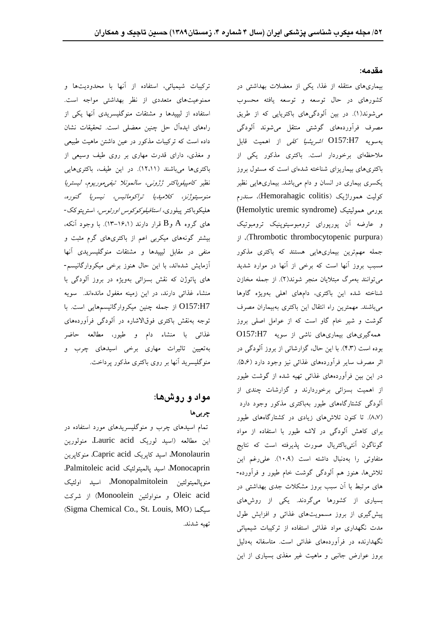#### مقدمه:

تركيبات شيميائي، استفاده از آنها با محدوديتها و ممنوعیتهای متعددی از نظر بهداشتی مواجه است. استفاده از لیپیدها و مشتقات منوگلیسریدی آنها یکی از راههای ایدهآل حل چنین معضلی است. تحقیقات نشان داده است که ترکیبات مذکور در عین داشتن ماهیت طبیعی و مغذی، دارای قدرت مهاری بر روی طیف وسیعی از باکتریها میباشند (١٢،١١). در این طیف، باکتریهایی نظير كامييلوباكتر ژژوني، سالمونلا تيفي موريوم، ليستريا منوسيتوژنز، كلاميديا تراكوماتيس، نيسريا گنوره، هليكوباكتر پيلورى*، استافيلوكوكوس اورئوس،* استرپتوكك-و عارضه آن پورپورای ترومبوسیتوپنیک ترومبوتیک های گروه A وB قرار دارند (۱۶،۱–۱۳). با وجود آنکه، بیشتر گونههای میکربی اعم از باکتریهای گرم مثبت و منفی در مقابل لیپیدها و مشتقات منوگلیسریدی آنها آزمایش شدهاند، با این حال هنوز برخی میکروارگانیسم-های پاتوژن که نقش بسزائی بهویژه در بروز آلودگی با منشاء غذائی دارند، در این زمینه مغفول ماندهاند. سویه O157:H7 توجه بهنقش باکتری فوقالاشاره در آلودگی فرآوردههای غذائی با منشاء دام و طیور، مطالعه حاضر بهتعیین تاثیرات مهاری برخی اسیدهای چرب و منوگلیسرید آنها بر روی باکتری مذکور پرداخت.

# مواد و روشها: چربی ها

تمام اسیدهای چرب و منوگلیسریدهای مورد استفاده در تهيه شدند.

بیماریهای منتقله از غذا، یکی از معضلات بهداشتی در کشورهای در حال توسعه و توسعه یافته محسوب می شوند(۱). در بین آلودگیهای باکتریایی که از طریق مصرف فرآوردههای گوشتی منتقل می شوند آلودگی O157:H7 ملاحظهای برخوردار است. باکتری مذکور یکی از باکتریهای بیماریزای شناخته شدهای است که مسئول بروز یکسری بیماری در انسان و دام میباشد. بیماریهایی نظیر کولیت هموراژیک (Hemorahagic colitis)، سندرم (Hemolytic uremic syndrome) Thrombotic thrombocytopenic purpura جمله مهمترین بیماریهایی هستند که باکتری مذکور مسبب بروز آنها است که برخی از آنها در موارد شدید مي توانند بهمرگ مبتلايان منجر شوند(٢). از جمله مخازن شناخته شده این باکتری، دامهای اهلی بهویژه گاوها گوشت و شیر خام گاو است که از عوامل اصلی بروز همهگیریهای بیماریهای ناشی از سویه O157:H7 بوده است (۴،۳). با این حال، گزارشاتی از بروز آلودگی در اثر مصرف سایر فرآوردههای غذائی نیز وجود دارد (۵،۶). در این بین فرآوردههای غذائی تهیه شده از گوشت طیور از اهمیت بسزائی برخوردارند و گزارشات چندی از آلودگی کشتارگاههای طیور بهباکتری مذکور وجود دارد (۸،۷). تا کنون تلاشهای زیادی در کشتارگاههای طیور برای کاهش آلودگی در لاشه طیور با استفاده از مواد Lauric acid متفاوتی را بهدنبال داشته است (۱۰،۹). علیرغم این Monolaurin اسید کاپریک Capric acid، منوکاپرین تلاشها، هنوز هم الودگی گوشت خام طیور و فراورده-<br>تلاشها، هنوز هم الودگی گوشت خام طیور و فراورده-.<br>های مرتبط با آن سبب بروز مشکلات جدی بهداشتی در مسلم منوپالمیتولئین Monopalmitolein اسید اولئیک بسیاری از کشورها میگردند. یکی از روشهای Oleic acid و منواولئین Monoolein) از شرکت Sigma Chemical Co., St. Louis, MOمدت نگهداری مواد غذائی استفاده از ترکیبات شیمیائی نگهدارنده در فرآوردههای غذائی است. متاسفانه بهدلیل بروز عوارض جانبی و ماهیت غیر مغذی بسیاری از این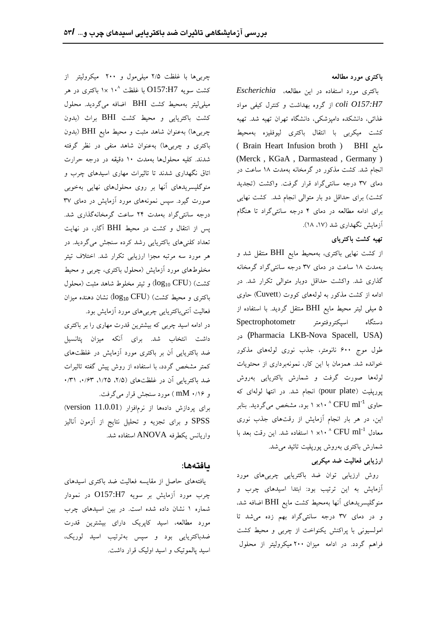باکتری مورد مطالعه

*Escherichia* O157:H7 coli 0157:H7 از گروه بهداشت و کنترل کیفی مواد مسلمی لیتر بهمحیط کشت BHI اضافه میگردید. محلول *coli O157:H7* غذائی، دانشکده دامیزشکی، دانشگاه تهران تهیه شد. تهیه کشت باکتریایی و محیط کشت BHI براث (بدون کشت میکربی با انتقال باکتری لیوفلیزه بهمحیط چربیها) بهعنوان شاهد مثبت و محیط مایع BHI (بدون Brain Heart Infusion broth BHI (Merck , KGaA , Darmastead , Germany ) انجام شد. کشت مذکور در گرمخانه بهمدت ۱۸ ساعت در دمای ۳۷ درجه سانتیگراد قرار گرفت. واکشت (تجدید کشت) برای حداقل دو بار متوالی انجام شد. کشت نهایی برای ادامه مطالعه در دمای ۴ درجه سانتیگراد تا هنگام

#### تهيه كشت باكترياي

از کشت نهایی باکتری، بهمحیط مایع BHI منتقل شد و بهمدت ١٨ ساعت در دماي ٣٧ درجه سانتي گراد گرمخانه کداری شد. واکشت حداقل دوبار متوالی تکرار شد. در مسلمی تنفست) ( $\log_{10} \mathrm{CFU}$ ادامه از کشت مذکور به لولههای کووت (Cuvett) حاوی ادامه از کشت مدکور به لولههای کووت (Cuvett) حاوی باکتری و محیط کشت) ( $\rm{log_{10}~CFU}$ ۵ میلی لیتر محیط مایع BHI منتقل گردید. با استفاده از Spectrophotometr (Pharmacia LKB-Nova Spacell, USA) طول موج ۶۰۰ نانومتر، جذب نوری لولههای مذکور خوانده شد. همزمان با این کار، نمونهبرداری از محتویات لولهها صورت گرفت و شمارش باكتريايي بهروش pour plate پورپلیت (pour plate) انجام شد. در انتها لولهای که  $\mathbf{M}$  (p $\mathbf{M}$ ) از  $\epsilon$ حاوی 1 $\times$ ۱۰ × ۱۰ بود، مشخص میگردید. بنابر مسلم از بردازش دادهها از نرمافزار (version  $11.0.01$  )  $\rm CFU\;ml^{-1}$  حاوی این، در هر بار انجام آزمایش از رقتهای جذب نوری SPSS و برای تجزیه و تحلیل نتایج از آزمون آنالیز معادل  $^{\circ}$  X۱۰  $^{\circ}$  CFU ml استفاده شد. این رقت بعد با  $_{\rm e}$  واریانس یکطرفه ANOVA استفاده شد.  $\rm CFU\;ml^{-1}$  معادل شمارش باكترى بەروش پورپليت تائيد مى شد.

### ارزیابی فعالیت ضد میکربی

روش ارزیابی توان ضد باکتریایی چربیهای مورد آزمایش به این ترتیب بود: ابتدا اسیدهای چرب و منوگلیسریدهای آنها بهمحیط کشت مایع BHI اضافه شد، و در دمای ۳۷ درجه سانتیگراد بهم زده میشد تا امولسیونی با پراکنش یکنواخت از چربی و محیط کشت فراهم گردد. در ادامه میزان ۲۰۰ میکرولیتر از محلول

چربی ها با غلظت ۲/۵ میلی مول و ۲۰۰ میکرولیتر از باکتری و چربیها) بهعنوان شاهد منفی در نظر گرفته شدند. کلیه محلولها بهمدت ۱۰ دقیقه در درجه حرارت اتاق نگهداری شدند تا تاثیرات مهاری اسیدهای چرب و منوگلیسریدهای آنها بر روی محلولهای نهایی بهخوبی صورت گیرد. سپس نمونههای مورد آزمایش در دمای ۳۷ درجه سانتی گراد بهمدت ۲۴ ساعت گرمخانهگذاری شد. BHI تعداد کلنیهای باکتریایی رشد کرده سنجش میگردید. در هر مورد سه مرتبه مجزا ارزیابی تکرار شد. اختلاف تیتر مخلوطهای مورد أزمایش (محلول باکتری، چربی و محیط فعالیت آنتی باکتریایی چربی های مورد آزمایش بود.

در ادامه اسید چربی که بیشترین قدرت مهاری را بر باکتری داشت انتخاب شد. برای آنکه میزان پتانسیل ضد باکتریایی آن بر باکتری مورد آزمایش در غلظتهای کمتر مشخص گردد، با استفاده از روش پیش گفته تاثیرات ضد باکتریایی آن در غلظتهای (۲/۵، ۱/۲۵، ۱/۴۲. ۰/۳۱

#### ىافتەھا:

یافتههای حاصل از مقایسه فعالیت ضد باکتری اسیدهای چرب مورد آزمایش بر سویه O157:H7 در نمودار شماره ١ نشان داده شده است. در بين اسيدهاى چرب مورد مطالعه، اسید کاپریک دارای بیشترین قدرت ضدباکتریایی بود و سپس بهترتیب اسید لوریک، اسید پالموتیک و اسید اولیک قرار داشت.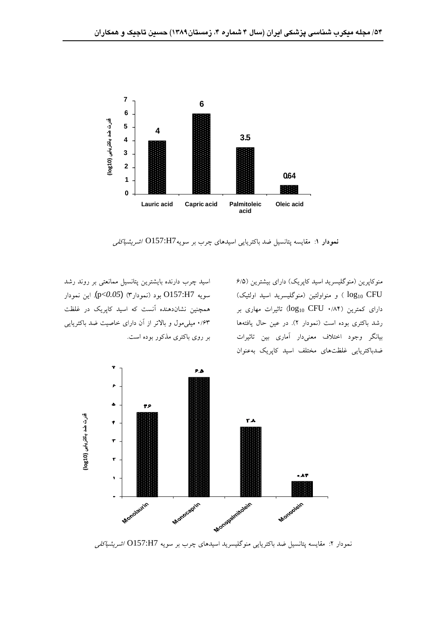

نمودار ۱: مقایسه پتانسیل ضد باکتریایی اسیدهای چرب بر سویهO157:H7 *اشریشیاکلی* 

منوکاپرین (منوگلیسرید اسید کاپریک) دارای بیشترین (۶/۵ log<sub>10</sub> CFU ) و منواولئين (منوگليسريد اسيد اولئيک) سويه O157:H7 بود (نمودار۳) (p<0.05<del>)</del>. اين نمودار  $log_{10}$  CFU  $\log_{10}$  CFU ۱/۸۴) دارای کمترین رشد باکتری بوده است (نمودار ۲). در عین حال یافتهها بیانگر وجود اختلاف معنیدار آماری بین تاثیرات ضدباكتريايي غلظتهاى مختلف اسيد كايريك بهعنوان

اسید چرب دارنده بایشترین پتانسیل ممانعتی بر روند رشد همچنین نشاندهنده آنست که اسید کاپریک در غلظت ۰/۶۳ میلی مول و بالاتر از آن دارای خاصیت ضد باکتریایی بر روی باکتری مذکور بوده است.



نمودار ۲: مقایسه پتانسیل ضد باکتریایی منوگلیسرید اسیدهای چرب بر سویه O157:H7 *اشریشیاکلی*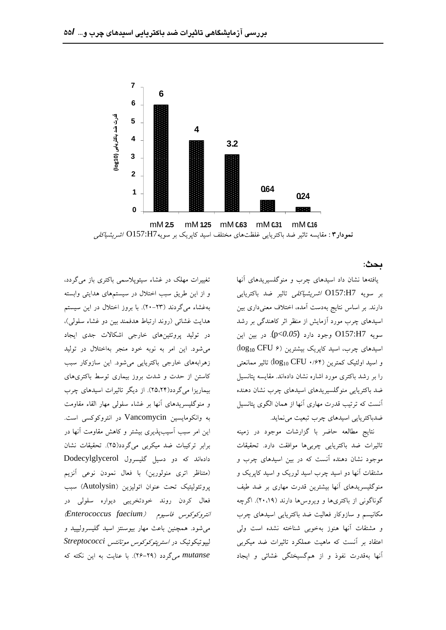

نمودار۳: مقایسه تاثیر ضد باکتریایی غلظتهای مختلف اسید کاپریک بر سویهO157:H7 *اشریشیاکلی* 

ىحث:

یافتهها نشان داد اسیدهای چرب و منوگلسیریدهای آنها بر سويه O157:H7 دارند. بر اساس نتایج بهدست آمده، اختلاف معنیداری بین اسیدهای چرب مورد آزمایش از منظر اثر کاهندگی بر رشد (p<*0.05*) O157:H7 اسیدهای چرب، اسید کاپریک بیشترین (CFU ۶)  $\log_{10}\mathrm{CFU}$  و اسید اولئیک کمترین (۱٬۶۴ را بر رشد باکتری مورد اشاره نشان دادهاند. مقایسه پتانسیل ضد باکتریایی منوگلسیریدهای اسیدهای چرب نشان دهنده آنست که ترتیب قدرت مهاری آنها از همان الگوی پتانسیل

نتايج مطالعه حاضر با گزارشات موجود در زمينه تاثیرات ضد باکتریایی چربیها موافقت دارد. تحقیقات مشتقات آنها دو اسید چرب اسید لوریک و اسید کاپریک و گوناگونی از باکتریها و ویروسها دارند (۲۰،۱۹). اگرچه و مشتقات آنها هنوز بهخوبی شناخته نشده است ولی آنها بهقدرت نفوذ و از هم گسیختگی غشائی و ایجاد

تغییرات مهلک در غشاء سیتوپلاسمی باکتری باز میگردد، و از این طریق سبب اختلال در سیستمهای هدایتی وابسته بهغشاء میگردند (۲۳–۲۰). با بروز اختلال در این سیستم هدایت غشائی (روند ارتباط هدفمند بین دو غشاء سلولی)، در تولید پروتئینهای خارجی اشکالات جدی ایجاد می شود. این امر به نوبه خود منجر بهاختلال در تولید زهرابههای خارجی باکتریایی می شود. این سازوکار سبب کاستن از حدت و شدت بروز بیماری توسط باکتریهای بیماریزا میگردد(۲۵،۲۴). از دیگر تاثیرات اسیدهای چرب و منوگلیسریدهای آنها بر غشاء سلولی مهار القاء مقاومت ضدباکتریایی اسیدهای چرب تبعیت مینماید. به وانکومایسین Vancomycin در انتروکوکسی است. این امر سبب آسیبپذیری بیشتر و کاهش مقاومت آنها در برابر ترکیبات ضد میکربی میگردد(٢٥). تحقیقات نشان موجود نشان دهنده آنست که در بین اسپدهای چرب و دادهاند که دو دسیل گلیسرول Dodecylglycerol (متناظر اتری منولورین) با فعال نمودن نوعی آنزیم منوگلیسریدهای آنها بیشترین قدرت مهاری بر ضد طیف پروتئولیتیک تحت عنوان اتولیزین (Autolysin) سبب فعال کردن روند خودتخریبی دیواره سلولی در *Enterococcus faecium* می شود. همچنین باعث مهار بیوسنتز اسید گلیسرولیپید و *Streptococci mutanse می گر*دد (۲۹–۲۶). با عنایت به این نکته که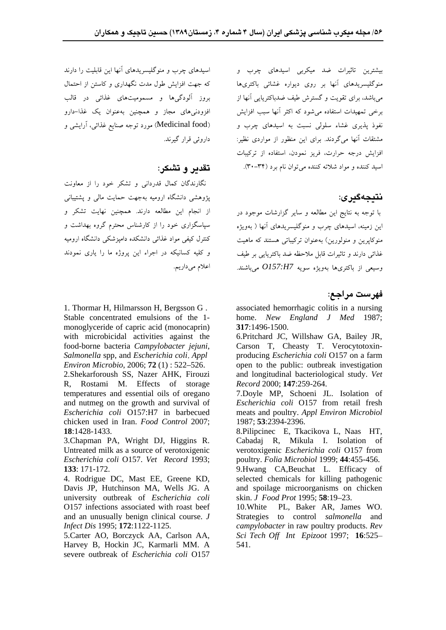بیشترین تاثیرات ضد میکربی اسیدهای چرب و منوگلیسریدهای آنها بر روی دیواره غشائی باکتریها می باشد، برای تقویت و گسترش طیف ضدباکتریایی آنها از برخی تمهیدات استفاده میشود که اکثر آنها سبب افزایش .<br>نفوذ پذیری غشاء سلول<sub>ی</sub> نسبت به اسیدهای چرب و (Medicinal food) مورد توجه صنایع غذائی، اَرایشی و مشتقات آنها میگردند. برای این منظور از مواردی نظیر: افزایش درجه حرارت، فریز نمودن، استفاده از ترکیبات اسيد کننده و مواد شلاته کننده مي توان نام برد (٣۴-٣٠).

### نتىجەگىرى:

با توجه به نتایج این مطالعه و سایر گزارشات موجود در این زمینه، اسیدهای چرب و منوگلیسریدهای آنها ( بهویژه منوکایرین و منولورین) بهعنوان ترکیباتی هستند که ماهیت غذائی دارند و تاثیرات قابل ملاحظه ضد باکترپایی بر طیف *O157:H7*

### فهرست مراجع:

1. Thormar H, Hilmarsson H, Bergsson G . <br>associated hemorrhagic colitis in a nursing home. *New England J Med* 1987; **317**:1496-1500.

with microbicidal activities against the 6.Pritchard JC, Willshaw GA, Bailey JR, food-borne bacteria *Campylobacter jejuni*, Carson T, Cheasty T. Verocytotoxin- *Environ Microbio*, 2006; **72** (1) : 522–526. open to the public: outbreak investigation 2.Shekarforoush SS, Nazer AHK, Firouzi and longitudinal bacteriological study. *Vet*  producing *Escherichia coli* O157 on a farm *Record* 2000; **147**:259-264.

*Escherichia coli* O157:H7 in barbecued meats and poultry. *Appl Environ Microbiol* 7.Doyle MP, Schoeni JL. Isolation of *Escherichia coli* O157 from retail fresh 1987; **53**:2394-2396.

**18**:1428-1433. 8.Pilipcinec E, Tkacikova L, Naas HT, 3.Chapman PA, Wright DJ, Higgins R. Cabadaj R, Mikula I. Isolation of verotoxigenic *Escherichia coli* O157 from

poultry. *Folia Microbiol* 1999; **44**:455-456.<br>9.Hwang CA,Beuchat L. Efficacy of selected chemicals for killing pathogenic skin. *J Food Prot* 1995; 58:19-23.

and an unusually benign clinical course. *J*  Strategies to control *salmonella* and *Infect Dis* 1995; **172**:1122-1125. *campylobacter* in raw poultry products. *Rev*  5.Carter AO, Borczyck AA, Carlson AA, *Sci Tech Of Int Epizoot* 1997; **16**:525 PL, Baker AR, James WO. 541.

اسیدهای چرب و منوگلیسریدهای آنها این قابلیت را دارند که جهت افزایش طول مدت نگهداری و کاستن از احتمال بروز آلودگی ها و مسمومیتهای غذائی در قالب افزودنی های مجاز و همچنین بهعنوان یک غذا-دارو داروئے قرار گیرند.

## تقدير و تشكر :

نگارندگان کمال قدردانی و تشکر خود را از معاونت پژوهشی دانشگاه ارومیه بهجهت حمایت مالی و پشتیبانی از انجام این مطالعه دارند. همچنین نهایت تشکر و سیاسگزاری خود را از کارشناس محترم گروه بهداشت و کنترل کیفی مواد غذائی دانشکده دامیزشکی دانشگاه ارومیه و کلیه کسانیکه در اجراء این پروژه ما را یاری نمودند اعلام می داریم.

Stable concentrated emulsions of the 1- home. New England J Med 1987; monoglyceride of capric acid (monocaprin) *Salmonella* spp, and *Escherichia coli Appl*

R, Rostami M. Effects of storage temperatures and essential oils of oregano and nutmeg on the growth and survival of Escherichia coli O157 from retail fresh chicken used in Iran. *Food Control* 2007;

Untreated milk as a source of verotoxigenic verotoxigenic Escherichia coli O157 from *Escherichia coli* O157. *Vet Record* 1993; **133**: 171-172. 9. 9. Hwang CA, Beuchat L. Efficacy of

4. Rodrigue DC, Mast EE, Greene KD, Davis JP, Hutchinson MA, Wells JG. A and spoilage microorganisms on chicken university outbreak of *Escherichia coli* O157 infections associated with roast beef 10. White

Harvey B, Hockin JC, Karmarli MM. A severe outbreak of *Escherichia coli* O157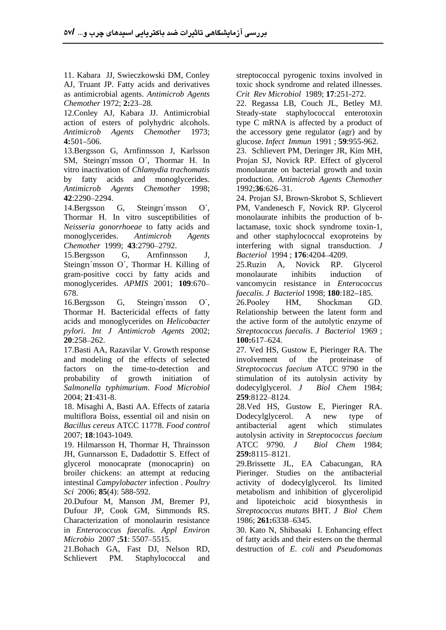as antimicrobial agents. *Antimicrob Agents*

12.Conley AJ, Kabara JJ. Antimicrobial Steady-state staphylococcal enterotoxin action of esters of polyhydric alcohols. *Antimicrob Agents Chemother* 1973; the accessory gene regulator (agr) and by

*Antimicrob Agents Chemother* 1998;

Thormar H. In vitro susceptibilities of *Neisseria gonorrhoeae* to fatty acids and monoglycerides. *Antimicrob Agents*

15.Bergsson G, Arnfinnsson J, *Bacteriol* 1994 ; **176**:4204 4209. Steingri msson O', Thormar H. Killing of 25. Ruzin A, Novick RP. Glycerol gram-positive cocci by fatty acids and

16.Bergsson G, Steingri msson O', 26.Pooley HM, Shockman GD. Thormar H. Bactericidal effects of fatty acids and monoglycerides on *Helicobacter pylori*. *Int J Antimicrob Agents* 2002;

and modeling of the effects of selected factors on the time-to-detection and *Salmonella typhimurium*. *Food Microbiol* 2004; **21**:431-8.

multiflora Boiss, essential oil and nisin on Dodecylglycerol. A new type of *Bacillus cereus* ATCC 11778. *Food control*

19. Hilmarsson H, Thormar H, Thrainsson ATCC 9790. J Biol Chem 1984; JH, Gunnarsson E, Dadadottir S. Effect of 259:8115-8121.

Characterization of monolaurin resistance 1986; 261:6338-6345. in *Enterococcus faecalis*. *Appl Environ* 30. Kato N, Shibasaki I. Enhancing effect

21.Bohach GA, Fast DJ, Nelson RD, destruction of *E*. *coli* and *Pseudomonas* Schlievert PM. Staphylococcal and

11. Kabara JJ, Swieczkowski DM, Conley streptococcal pyrogenic toxins involved in AJ, Truant JP. Fatty acids and derivatives toxic shock syndrome and related illnesses. *Crit Rev Microbiol* 1989; **17**:251-272.

*Chemother* 1972; **2:**23 28. 22. Regassa LB, Couch JL, Betley MJ. **4:**501 506. glucose. *Infect Immun* 1991 ; **59**:955-962. type C mRNA is affected by a product of

13.Bergsson G, Arnfinnsson J, Karlsson 23. Schlievert PM, Deringer JR, Kim MH, SM, Steingri msson O´, Thormar H. In Projan SJ, Novick RP. Effect of glycerol vitro inactivation of *Chlamydia trachomatis* monolaurate on bacterial growth and toxin by fatty acids and monoglycerides. production. *Antimicrob Agents Chemother* 23. Schlievert PM, Deringer JR, Kim MH, 1992;**36**:626–31.

**42**:2290 2294. 24. Projan SJ, Brown-Skrobot S, Schlievert 14.Bergsson G, Steingri msson O´, PM, Vandenesch F, Novick RP. Glycerol *Chemother* 1999; **43**:2790 2792. interfering with signal transduction. *J*  monolaurate inhibits the production of blactamase, toxic shock syndrome toxin-1, and other staphylococcal exoproteins by

monoglycerides. *APMIS* 2001; **109**:670 vancomycin resistance in *Enterococcus*  678. *faecalis*. *J Bacteriol* 1998; **180**:182 185. 25.Ruzin A, Novick RP. Glycerol monolaurate inhibits induction of

**20**:258–262. **100:**617–624. 26.Pooley HM, Shockman GD. Relationship between the latent form and the active form of the autolytic enzyme of *Streptococcus faecalis*. *J Bacteriol* 1969 ; **100:**617 624.

17.Basti AA, Razavilar V. Growth response 27. Ved HS, Gustow E, Pieringer RA. The probability of growth initiation of stimulation of its autolysin activity by involvement of the proteinase of *Streptococcus faecium* ATCC 9790 in the dodecylglycerol. *J Biol Chem* 1984; **259**:8122–8124.

18. Misaghi A, Basti AA. Effects of zataria 28.Ved HS, Gustow E, Pieringer RA. 2007; **18**:1043-1049. autolysin activity in *Streptococcus faecium* Dodecylglycerol. A new type of antibacterial agent which stimulates ATCC 9790. *J Biol Chem* 1984; **259:**8115–8121.

glycerol monocaprate (monocaprin) on 29.Brissette JL, EA Cabacungan, RA broiler chickens: an attempt at reducing Pieringer. Studies on the antibacterial intestinal *Campylobacter* infection . *Poultry*  activity of dodecylglycerol. Its limited *Sci* 2006; **85**(4): 588-592. metabolism and inhibition of glycerolipid 20.Dufour M, Manson JM, Bremer PJ, and lipoteichoic acid biosynthesis in Dufour JP, Cook GM, Simmonds RS. *Streptococcus mutans* BHT. *J Biol Chem* 1986; **261:**6338–6345.

*Microbio* 2007;**51**: 5507–5515. of fatty acids and their esters on the thermal